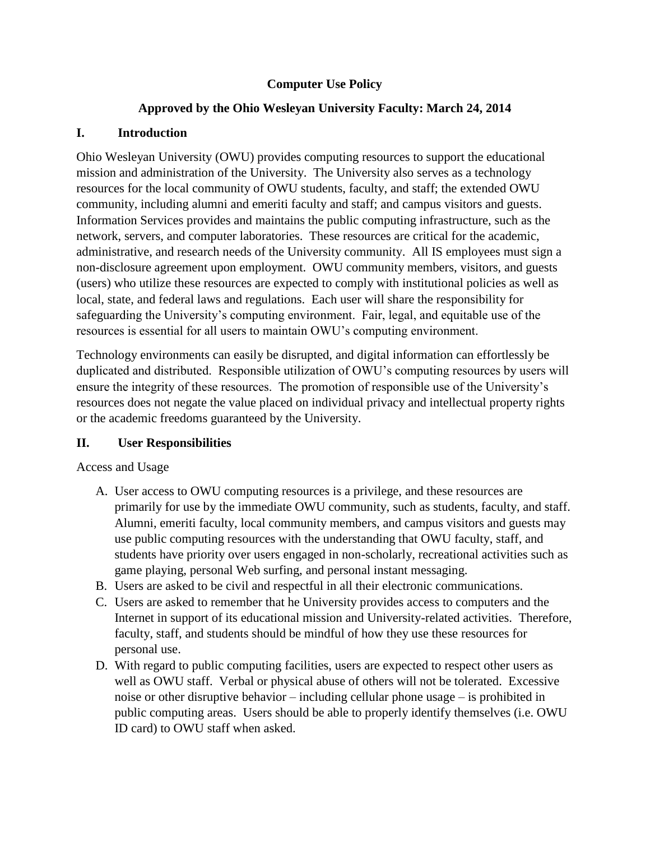# **Computer Use Policy**

# **Approved by the Ohio Wesleyan University Faculty: March 24, 2014**

## **I. Introduction**

Ohio Wesleyan University (OWU) provides computing resources to support the educational mission and administration of the University. The University also serves as a technology resources for the local community of OWU students, faculty, and staff; the extended OWU community, including alumni and emeriti faculty and staff; and campus visitors and guests. Information Services provides and maintains the public computing infrastructure, such as the network, servers, and computer laboratories. These resources are critical for the academic, administrative, and research needs of the University community. All IS employees must sign a non-disclosure agreement upon employment. OWU community members, visitors, and guests (users) who utilize these resources are expected to comply with institutional policies as well as local, state, and federal laws and regulations. Each user will share the responsibility for safeguarding the University's computing environment. Fair, legal, and equitable use of the resources is essential for all users to maintain OWU's computing environment.

Technology environments can easily be disrupted, and digital information can effortlessly be duplicated and distributed. Responsible utilization of OWU's computing resources by users will ensure the integrity of these resources. The promotion of responsible use of the University's resources does not negate the value placed on individual privacy and intellectual property rights or the academic freedoms guaranteed by the University.

## **II. User Responsibilities**

## Access and Usage

- A. User access to OWU computing resources is a privilege, and these resources are primarily for use by the immediate OWU community, such as students, faculty, and staff. Alumni, emeriti faculty, local community members, and campus visitors and guests may use public computing resources with the understanding that OWU faculty, staff, and students have priority over users engaged in non-scholarly, recreational activities such as game playing, personal Web surfing, and personal instant messaging.
- B. Users are asked to be civil and respectful in all their electronic communications.
- C. Users are asked to remember that he University provides access to computers and the Internet in support of its educational mission and University-related activities. Therefore, faculty, staff, and students should be mindful of how they use these resources for personal use.
- D. With regard to public computing facilities, users are expected to respect other users as well as OWU staff. Verbal or physical abuse of others will not be tolerated. Excessive noise or other disruptive behavior – including cellular phone usage – is prohibited in public computing areas. Users should be able to properly identify themselves (i.e. OWU ID card) to OWU staff when asked.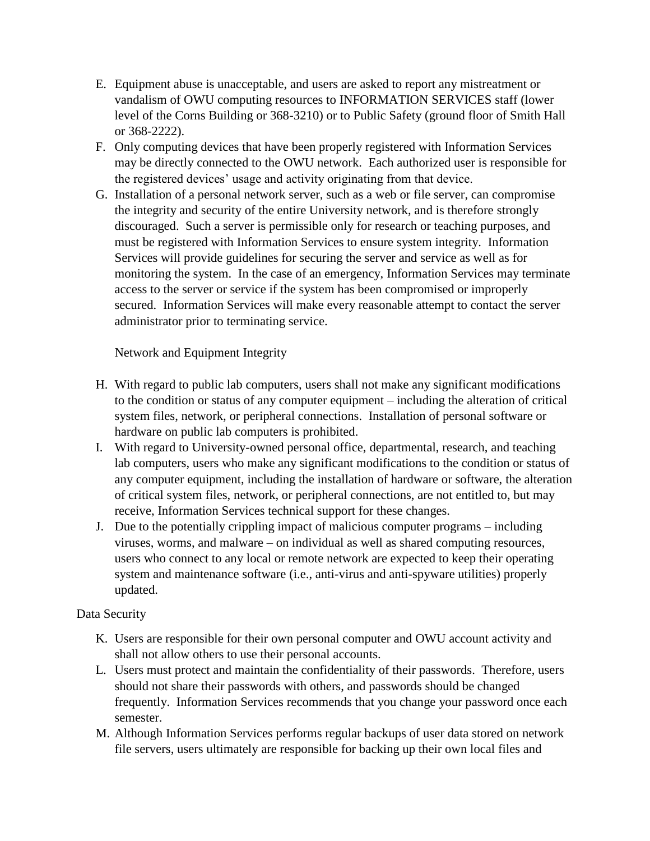- E. Equipment abuse is unacceptable, and users are asked to report any mistreatment or vandalism of OWU computing resources to INFORMATION SERVICES staff (lower level of the Corns Building or 368-3210) or to Public Safety (ground floor of Smith Hall or 368-2222).
- F. Only computing devices that have been properly registered with Information Services may be directly connected to the OWU network. Each authorized user is responsible for the registered devices' usage and activity originating from that device.
- G. Installation of a personal network server, such as a web or file server, can compromise the integrity and security of the entire University network, and is therefore strongly discouraged. Such a server is permissible only for research or teaching purposes, and must be registered with Information Services to ensure system integrity. Information Services will provide guidelines for securing the server and service as well as for monitoring the system. In the case of an emergency, Information Services may terminate access to the server or service if the system has been compromised or improperly secured. Information Services will make every reasonable attempt to contact the server administrator prior to terminating service.

## Network and Equipment Integrity

- H. With regard to public lab computers, users shall not make any significant modifications to the condition or status of any computer equipment – including the alteration of critical system files, network, or peripheral connections. Installation of personal software or hardware on public lab computers is prohibited.
- I. With regard to University-owned personal office, departmental, research, and teaching lab computers, users who make any significant modifications to the condition or status of any computer equipment, including the installation of hardware or software, the alteration of critical system files, network, or peripheral connections, are not entitled to, but may receive, Information Services technical support for these changes.
- J. Due to the potentially crippling impact of malicious computer programs including viruses, worms, and malware – on individual as well as shared computing resources, users who connect to any local or remote network are expected to keep their operating system and maintenance software (i.e., anti-virus and anti-spyware utilities) properly updated.

#### Data Security

- K. Users are responsible for their own personal computer and OWU account activity and shall not allow others to use their personal accounts.
- L. Users must protect and maintain the confidentiality of their passwords. Therefore, users should not share their passwords with others, and passwords should be changed frequently. Information Services recommends that you change your password once each semester.
- M. Although Information Services performs regular backups of user data stored on network file servers, users ultimately are responsible for backing up their own local files and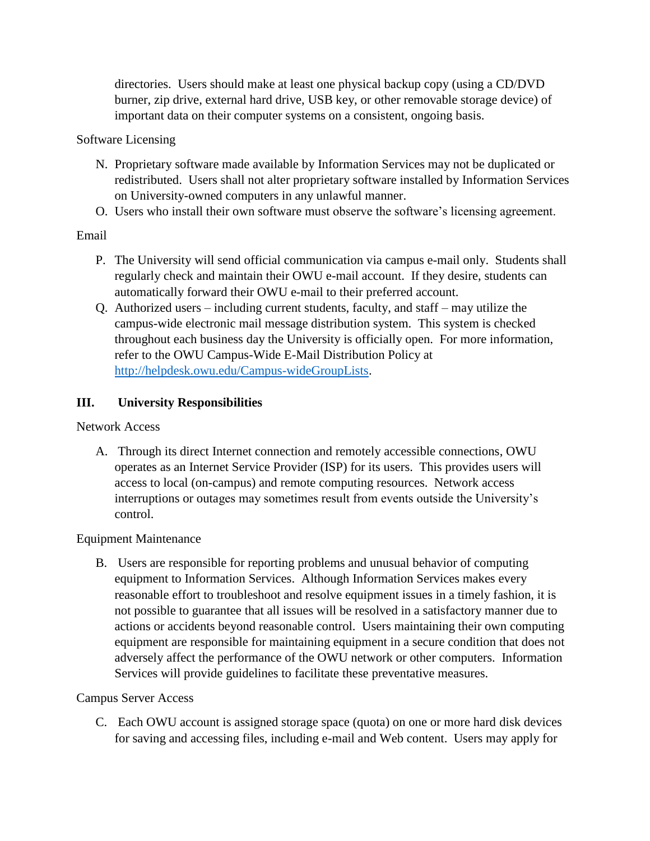directories. Users should make at least one physical backup copy (using a CD/DVD burner, zip drive, external hard drive, USB key, or other removable storage device) of important data on their computer systems on a consistent, ongoing basis.

## Software Licensing

- N. Proprietary software made available by Information Services may not be duplicated or redistributed. Users shall not alter proprietary software installed by Information Services on University-owned computers in any unlawful manner.
- O. Users who install their own software must observe the software's licensing agreement.

# Email

- P. The University will send official communication via campus e-mail only. Students shall regularly check and maintain their OWU e-mail account. If they desire, students can automatically forward their OWU e-mail to their preferred account.
- Q. Authorized users including current students, faculty, and staff may utilize the campus-wide electronic mail message distribution system. This system is checked throughout each business day the University is officially open. For more information, refer to the OWU Campus-Wide E-Mail Distribution Policy at [http://helpdesk.owu.edu/Campus-wideGroupLists.](http://helpdesk.owu.edu/Campus-wideGroupLists)

# **III. University Responsibilities**

Network Access

A. Through its direct Internet connection and remotely accessible connections, OWU operates as an Internet Service Provider (ISP) for its users. This provides users will access to local (on-campus) and remote computing resources. Network access interruptions or outages may sometimes result from events outside the University's control.

## Equipment Maintenance

B. Users are responsible for reporting problems and unusual behavior of computing equipment to Information Services. Although Information Services makes every reasonable effort to troubleshoot and resolve equipment issues in a timely fashion, it is not possible to guarantee that all issues will be resolved in a satisfactory manner due to actions or accidents beyond reasonable control. Users maintaining their own computing equipment are responsible for maintaining equipment in a secure condition that does not adversely affect the performance of the OWU network or other computers. Information Services will provide guidelines to facilitate these preventative measures.

## Campus Server Access

C. Each OWU account is assigned storage space (quota) on one or more hard disk devices for saving and accessing files, including e-mail and Web content. Users may apply for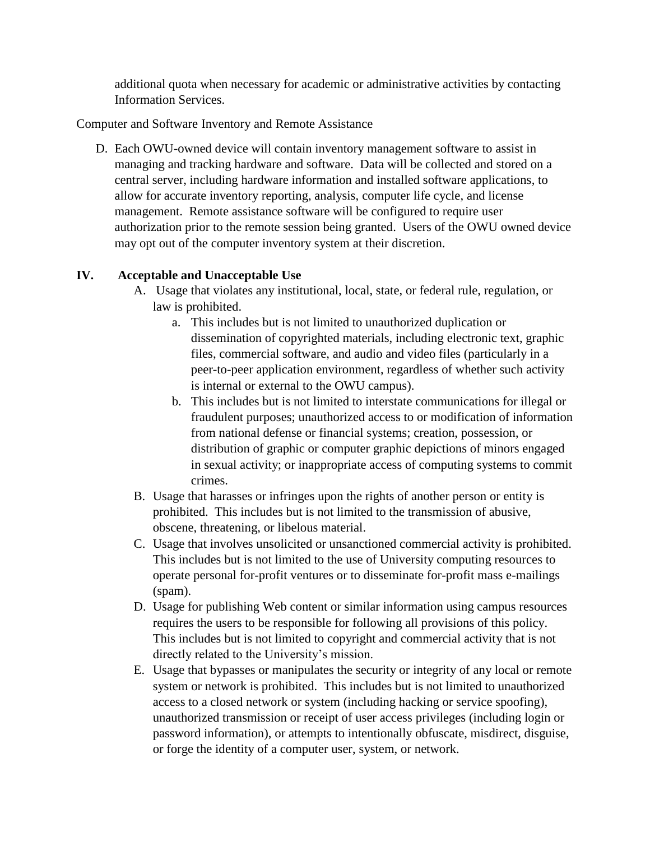additional quota when necessary for academic or administrative activities by contacting Information Services.

Computer and Software Inventory and Remote Assistance

D. Each OWU-owned device will contain inventory management software to assist in managing and tracking hardware and software. Data will be collected and stored on a central server, including hardware information and installed software applications, to allow for accurate inventory reporting, analysis, computer life cycle, and license management. Remote assistance software will be configured to require user authorization prior to the remote session being granted. Users of the OWU owned device may opt out of the computer inventory system at their discretion.

# **IV. Acceptable and Unacceptable Use**

- A. Usage that violates any institutional, local, state, or federal rule, regulation, or law is prohibited.
	- a. This includes but is not limited to unauthorized duplication or dissemination of copyrighted materials, including electronic text, graphic files, commercial software, and audio and video files (particularly in a peer-to-peer application environment, regardless of whether such activity is internal or external to the OWU campus).
	- b. This includes but is not limited to interstate communications for illegal or fraudulent purposes; unauthorized access to or modification of information from national defense or financial systems; creation, possession, or distribution of graphic or computer graphic depictions of minors engaged in sexual activity; or inappropriate access of computing systems to commit crimes.
- B. Usage that harasses or infringes upon the rights of another person or entity is prohibited. This includes but is not limited to the transmission of abusive, obscene, threatening, or libelous material.
- C. Usage that involves unsolicited or unsanctioned commercial activity is prohibited. This includes but is not limited to the use of University computing resources to operate personal for-profit ventures or to disseminate for-profit mass e-mailings (spam).
- D. Usage for publishing Web content or similar information using campus resources requires the users to be responsible for following all provisions of this policy. This includes but is not limited to copyright and commercial activity that is not directly related to the University's mission.
- E. Usage that bypasses or manipulates the security or integrity of any local or remote system or network is prohibited. This includes but is not limited to unauthorized access to a closed network or system (including hacking or service spoofing), unauthorized transmission or receipt of user access privileges (including login or password information), or attempts to intentionally obfuscate, misdirect, disguise, or forge the identity of a computer user, system, or network.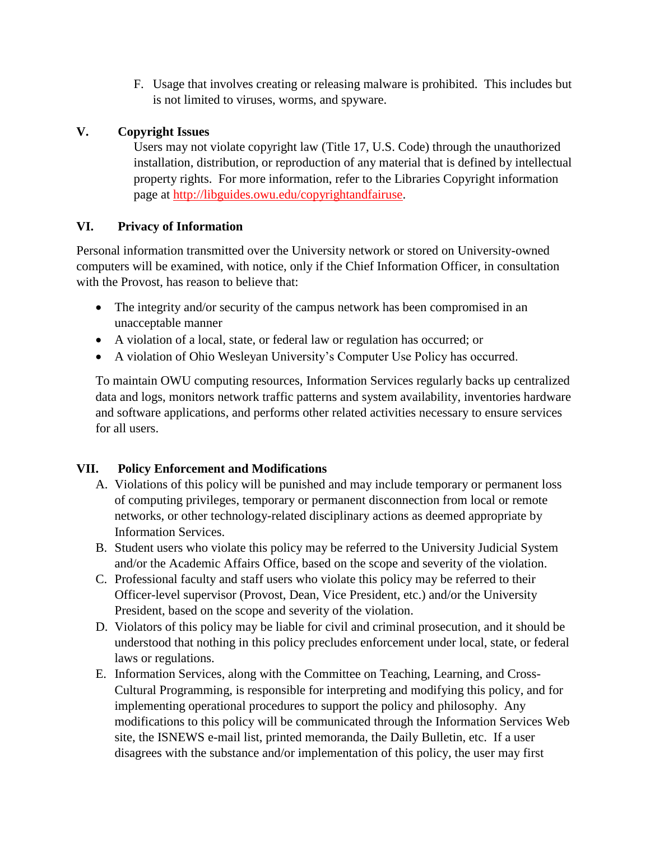F. Usage that involves creating or releasing malware is prohibited. This includes but is not limited to viruses, worms, and spyware.

# **V. Copyright Issues**

Users may not violate copyright law (Title 17, U.S. Code) through the unauthorized installation, distribution, or reproduction of any material that is defined by intellectual property rights. For more information, refer to the Libraries Copyright information page at [http://libguides.owu.edu/copyrightandfairuse.](http://libguides.owu.edu/copyrightandfairuse)

# **VI. Privacy of Information**

Personal information transmitted over the University network or stored on University-owned computers will be examined, with notice, only if the Chief Information Officer, in consultation with the Provost, has reason to believe that:

- The integrity and/or security of the campus network has been compromised in an unacceptable manner
- A violation of a local, state, or federal law or regulation has occurred; or
- A violation of Ohio Wesleyan University's Computer Use Policy has occurred.

To maintain OWU computing resources, Information Services regularly backs up centralized data and logs, monitors network traffic patterns and system availability, inventories hardware and software applications, and performs other related activities necessary to ensure services for all users.

# **VII. Policy Enforcement and Modifications**

- A. Violations of this policy will be punished and may include temporary or permanent loss of computing privileges, temporary or permanent disconnection from local or remote networks, or other technology-related disciplinary actions as deemed appropriate by Information Services.
- B. Student users who violate this policy may be referred to the University Judicial System and/or the Academic Affairs Office, based on the scope and severity of the violation.
- C. Professional faculty and staff users who violate this policy may be referred to their Officer-level supervisor (Provost, Dean, Vice President, etc.) and/or the University President, based on the scope and severity of the violation.
- D. Violators of this policy may be liable for civil and criminal prosecution, and it should be understood that nothing in this policy precludes enforcement under local, state, or federal laws or regulations.
- E. Information Services, along with the Committee on Teaching, Learning, and Cross-Cultural Programming, is responsible for interpreting and modifying this policy, and for implementing operational procedures to support the policy and philosophy. Any modifications to this policy will be communicated through the Information Services Web site, the ISNEWS e-mail list, printed memoranda, the Daily Bulletin, etc. If a user disagrees with the substance and/or implementation of this policy, the user may first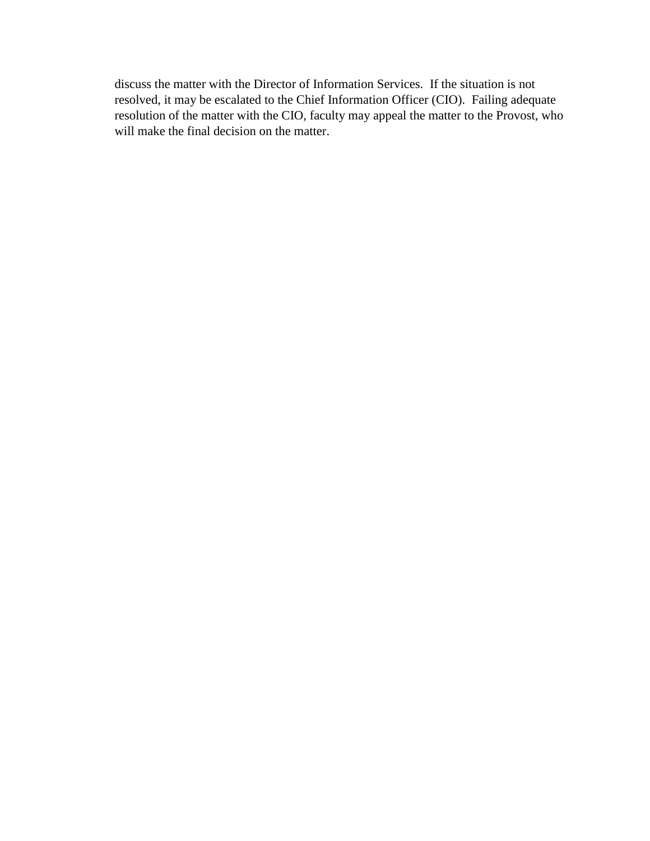discuss the matter with the Director of Information Services. If the situation is not resolved, it may be escalated to the Chief Information Officer (CIO). Failing adequate resolution of the matter with the CIO, faculty may appeal the matter to the Provost, who will make the final decision on the matter.